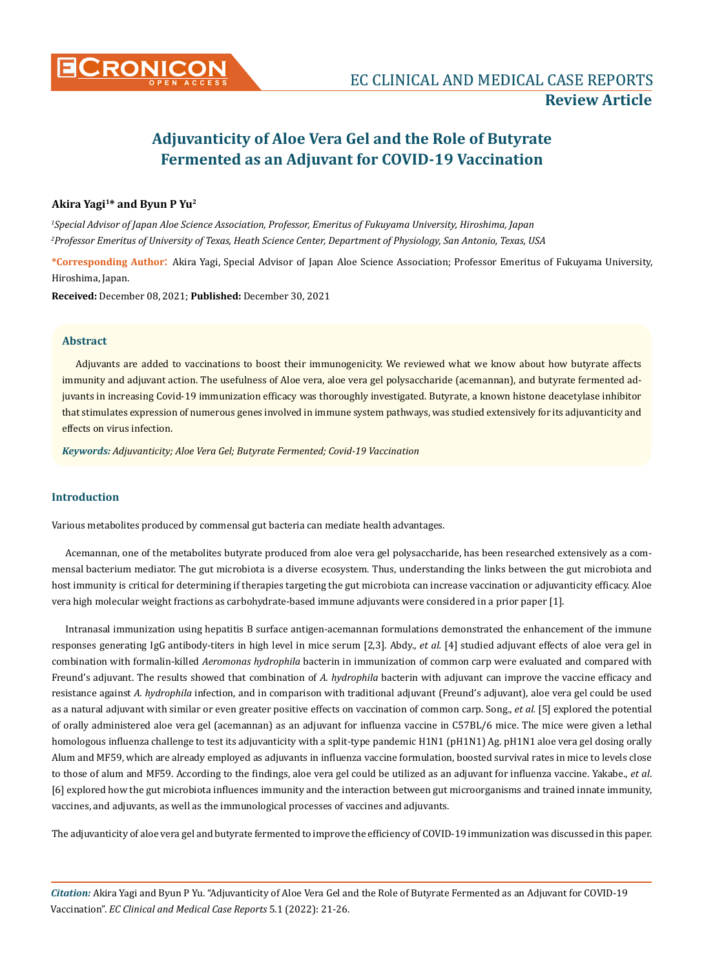# **Adjuvanticity of Aloe Vera Gel and the Role of Butyrate Fermented as an Adjuvant for COVID-19 Vaccination**

# **Akira Yagi1\* and Byun P Yu2**

*1 Special Advisor of Japan Aloe Science Association, Professor, Emeritus of Fukuyama University, Hiroshima, Japan 2 Professor Emeritus of University of Texas, Heath Science Center, Department of Physiology, San Antonio, Texas, USA* 

**\*Corresponding Author**: Akira Yagi, Special Advisor of Japan Aloe Science Association; Professor Emeritus of Fukuyama University, Hiroshima, Japan.

**Received:** December 08, 2021; **Published:** December 30, 2021

## **Abstract**

Adjuvants are added to vaccinations to boost their immunogenicity. We reviewed what we know about how butyrate affects immunity and adjuvant action. The usefulness of Aloe vera, aloe vera gel polysaccharide (acemannan), and butyrate fermented adjuvants in increasing Covid-19 immunization efficacy was thoroughly investigated. Butyrate, a known histone deacetylase inhibitor that stimulates expression of numerous genes involved in immune system pathways, was studied extensively for its adjuvanticity and effects on virus infection.

*Keywords: Adjuvanticity; Aloe Vera Gel; Butyrate Fermented; Covid-19 Vaccination*

## **Introduction**

Various metabolites produced by commensal gut bacteria can mediate health advantages.

Acemannan, one of the metabolites butyrate produced from aloe vera gel polysaccharide, has been researched extensively as a commensal bacterium mediator. The gut microbiota is a diverse ecosystem. Thus, understanding the links between the gut microbiota and host immunity is critical for determining if therapies targeting the gut microbiota can increase vaccination or adjuvanticity efficacy. Aloe vera high molecular weight fractions as carbohydrate-based immune adjuvants were considered in a prior paper [1].

Intranasal immunization using hepatitis B surface antigen-acemannan formulations demonstrated the enhancement of the immune responses generating IgG antibody-titers in high level in mice serum [2,3]. Abdy., *et al.* [4] studied adjuvant effects of aloe vera gel in combination with formalin-killed *Aeromonas hydrophila* bacterin in immunization of common carp were evaluated and compared with Freund's adjuvant. The results showed that combination of *A. hydrophila* bacterin with adjuvant can improve the vaccine efficacy and resistance against *A. hydrophila* infection, and in comparison with traditional adjuvant (Freund's adjuvant), aloe vera gel could be used as a natural adjuvant with similar or even greater positive effects on vaccination of common carp. Song., *et al.* [5] explored the potential of orally administered aloe vera gel (acemannan) as an adjuvant for influenza vaccine in C57BL/6 mice. The mice were given a lethal homologous influenza challenge to test its adjuvanticity with a split-type pandemic H1N1 (pH1N1) Ag. pH1N1 aloe vera gel dosing orally Alum and MF59, which are already employed as adjuvants in influenza vaccine formulation, boosted survival rates in mice to levels close to those of alum and MF59. According to the findings, aloe vera gel could be utilized as an adjuvant for influenza vaccine. Yakabe., *et al*. [6] explored how the gut microbiota influences immunity and the interaction between gut microorganisms and trained innate immunity, vaccines, and adjuvants, as well as the immunological processes of vaccines and adjuvants.

The adjuvanticity of aloe vera gel and butyrate fermented to improve the efficiency of COVID-19 immunization was discussed in this paper.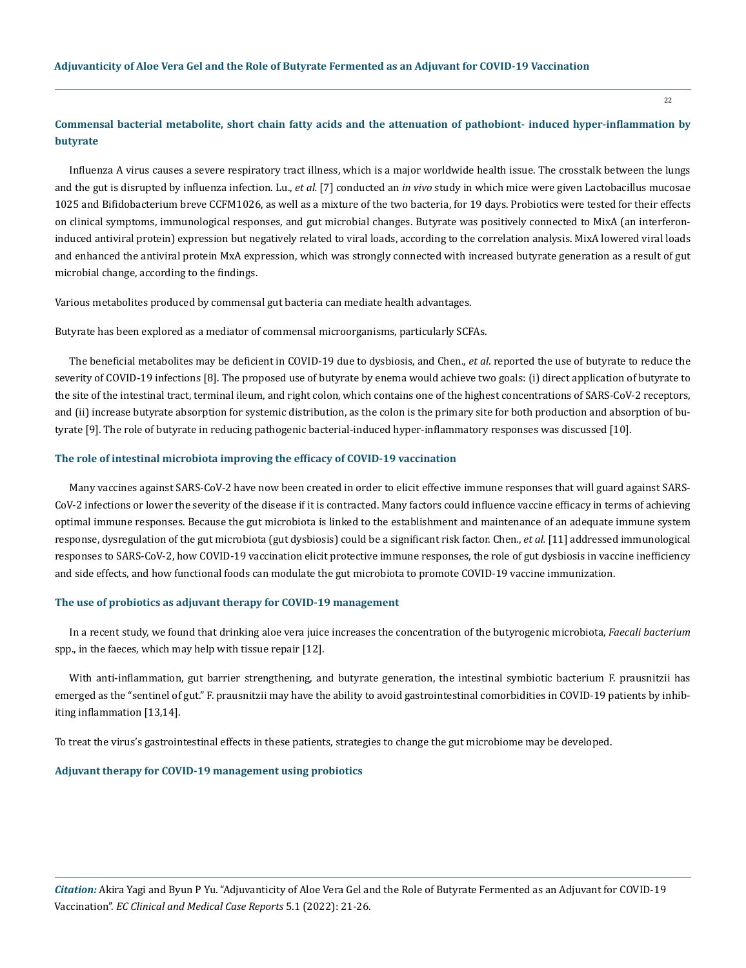22

## **Commensal bacterial metabolite, short chain fatty acids and the attenuation of pathobiont- induced hyper-inflammation by butyrate**

Influenza A virus causes a severe respiratory tract illness, which is a major worldwide health issue. The crosstalk between the lungs and the gut is disrupted by influenza infection. Lu., *et al.* [7] conducted an *in vivo* study in which mice were given Lactobacillus mucosae 1025 and Bifidobacterium breve CCFM1026, as well as a mixture of the two bacteria, for 19 days. Probiotics were tested for their effects on clinical symptoms, immunological responses, and gut microbial changes. Butyrate was positively connected to MixA (an interferoninduced antiviral protein) expression but negatively related to viral loads, according to the correlation analysis. MixA lowered viral loads and enhanced the antiviral protein MxA expression, which was strongly connected with increased butyrate generation as a result of gut microbial change, according to the findings.

Various metabolites produced by commensal gut bacteria can mediate health advantages.

Butyrate has been explored as a mediator of commensal microorganisms, particularly SCFAs.

The beneficial metabolites may be deficient in COVID-19 due to dysbiosis, and Chen., *et al*. reported the use of butyrate to reduce the severity of COVID-19 infections [8]. The proposed use of butyrate by enema would achieve two goals: (i) direct application of butyrate to the site of the intestinal tract, terminal ileum, and right colon, which contains one of the highest concentrations of SARS-CoV-2 receptors, and (ii) increase butyrate absorption for systemic distribution, as the colon is the primary site for both production and absorption of butyrate [9]. The role of butyrate in reducing pathogenic bacterial-induced hyper-inflammatory responses was discussed [10].

#### **The role of intestinal microbiota improving the efficacy of COVID-19 vaccination**

Many vaccines against SARS-CoV-2 have now been created in order to elicit effective immune responses that will guard against SARS-CoV-2 infections or lower the severity of the disease if it is contracted. Many factors could influence vaccine efficacy in terms of achieving optimal immune responses. Because the gut microbiota is linked to the establishment and maintenance of an adequate immune system response, dysregulation of the gut microbiota (gut dysbiosis) could be a significant risk factor. Chen., *et al.* [11] addressed immunological responses to SARS-CoV-2, how COVID-19 vaccination elicit protective immune responses, the role of gut dysbiosis in vaccine inefficiency and side effects, and how functional foods can modulate the gut microbiota to promote COVID-19 vaccine immunization.

#### **The use of probiotics as adjuvant therapy for COVID-19 management**

In a recent study, we found that drinking aloe vera juice increases the concentration of the butyrogenic microbiota, *Faecali bacterium* spp., in the faeces, which may help with tissue repair [12].

With anti-inflammation, gut barrier strengthening, and butyrate generation, the intestinal symbiotic bacterium F. prausnitzii has emerged as the "sentinel of gut." F. prausnitzii may have the ability to avoid gastrointestinal comorbidities in COVID-19 patients by inhibiting inflammation [13,14].

To treat the virus's gastrointestinal effects in these patients, strategies to change the gut microbiome may be developed.

### **Adjuvant therapy for COVID-19 management using probiotics**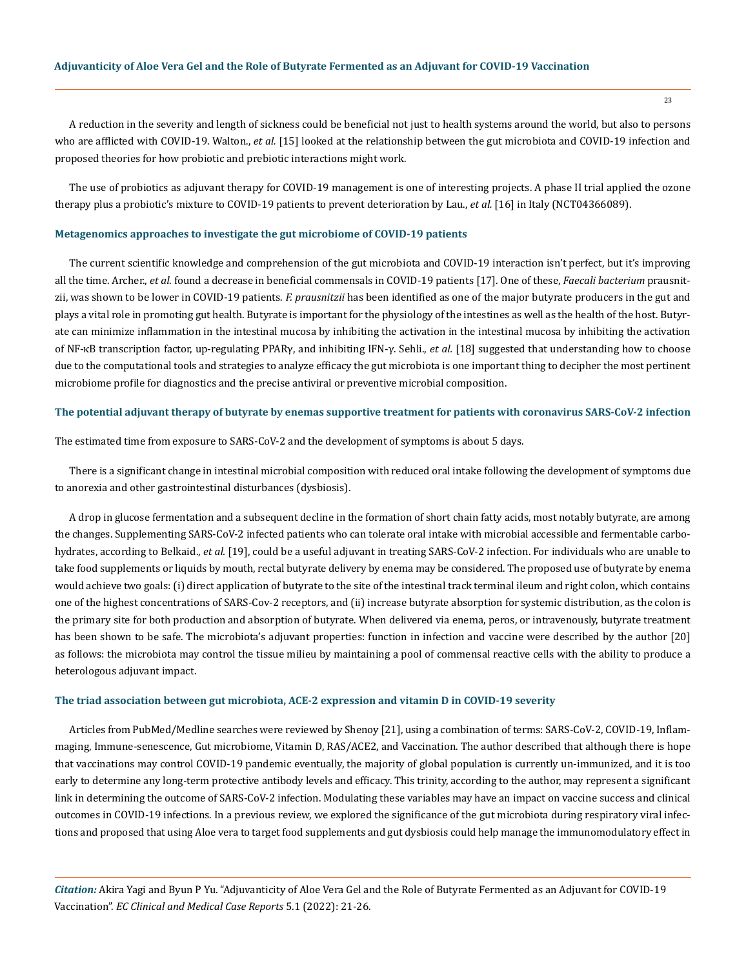23

A reduction in the severity and length of sickness could be beneficial not just to health systems around the world, but also to persons who are afflicted with COVID-19. Walton., *et al.* [15] looked at the relationship between the gut microbiota and COVID-19 infection and proposed theories for how probiotic and prebiotic interactions might work.

The use of probiotics as adjuvant therapy for COVID-19 management is one of interesting projects. A phase II trial applied the ozone therapy plus a probiotic's mixture to COVID-19 patients to prevent deterioration by Lau., *et al.* [16] in Italy (NCT04366089).

## **Metagenomics approaches to investigate the gut microbiome of COVID-19 patients**

The current scientific knowledge and comprehension of the gut microbiota and COVID-19 interaction isn't perfect, but it's improving all the time. Archer., *et al*. found a decrease in beneficial commensals in COVID-19 patients [17]. One of these, *Faecali bacterium* prausnitzii, was shown to be lower in COVID-19 patients. *F. prausnitzii* has been identified as one of the major butyrate producers in the gut and plays a vital role in promoting gut health. Butyrate is important for the physiology of the intestines as well as the health of the host. Butyrate can minimize inflammation in the intestinal mucosa by inhibiting the activation in the intestinal mucosa by inhibiting the activation of NF-κB transcription factor, up-regulating PPARγ, and inhibiting IFN-γ. Sehli., *et al.* [18] suggested that understanding how to choose due to the computational tools and strategies to analyze efficacy the gut microbiota is one important thing to decipher the most pertinent microbiome profile for diagnostics and the precise antiviral or preventive microbial composition.

#### **The potential adjuvant therapy of butyrate by enemas supportive treatment for patients with coronavirus SARS-CoV-2 infection**

The estimated time from exposure to SARS-CoV-2 and the development of symptoms is about 5 days.

There is a significant change in intestinal microbial composition with reduced oral intake following the development of symptoms due to anorexia and other gastrointestinal disturbances (dysbiosis).

A drop in glucose fermentation and a subsequent decline in the formation of short chain fatty acids, most notably butyrate, are among the changes. Supplementing SARS-CoV-2 infected patients who can tolerate oral intake with microbial accessible and fermentable carbohydrates, according to Belkaid., *et al.* [19], could be a useful adjuvant in treating SARS-CoV-2 infection. For individuals who are unable to take food supplements or liquids by mouth, rectal butyrate delivery by enema may be considered. The proposed use of butyrate by enema would achieve two goals: (i) direct application of butyrate to the site of the intestinal track terminal ileum and right colon, which contains one of the highest concentrations of SARS-Cov-2 receptors, and (ii) increase butyrate absorption for systemic distribution, as the colon is the primary site for both production and absorption of butyrate. When delivered via enema, peros, or intravenously, butyrate treatment has been shown to be safe. The microbiota's adjuvant properties: function in infection and vaccine were described by the author [20] as follows: the microbiota may control the tissue milieu by maintaining a pool of commensal reactive cells with the ability to produce a heterologous adjuvant impact.

#### **The triad association between gut microbiota, ACE-2 expression and vitamin D in COVID-19 severity**

Articles from PubMed/Medline searches were reviewed by Shenoy [21], using a combination of terms: SARS-CoV-2, COVID-19, Inflammaging, Immune-senescence, Gut microbiome, Vitamin D, RAS/ACE2, and Vaccination. The author described that although there is hope that vaccinations may control COVID-19 pandemic eventually, the majority of global population is currently un-immunized, and it is too early to determine any long-term protective antibody levels and efficacy. This trinity, according to the author, may represent a significant link in determining the outcome of SARS-CoV-2 infection. Modulating these variables may have an impact on vaccine success and clinical outcomes in COVID-19 infections. In a previous review, we explored the significance of the gut microbiota during respiratory viral infections and proposed that using Aloe vera to target food supplements and gut dysbiosis could help manage the immunomodulatory effect in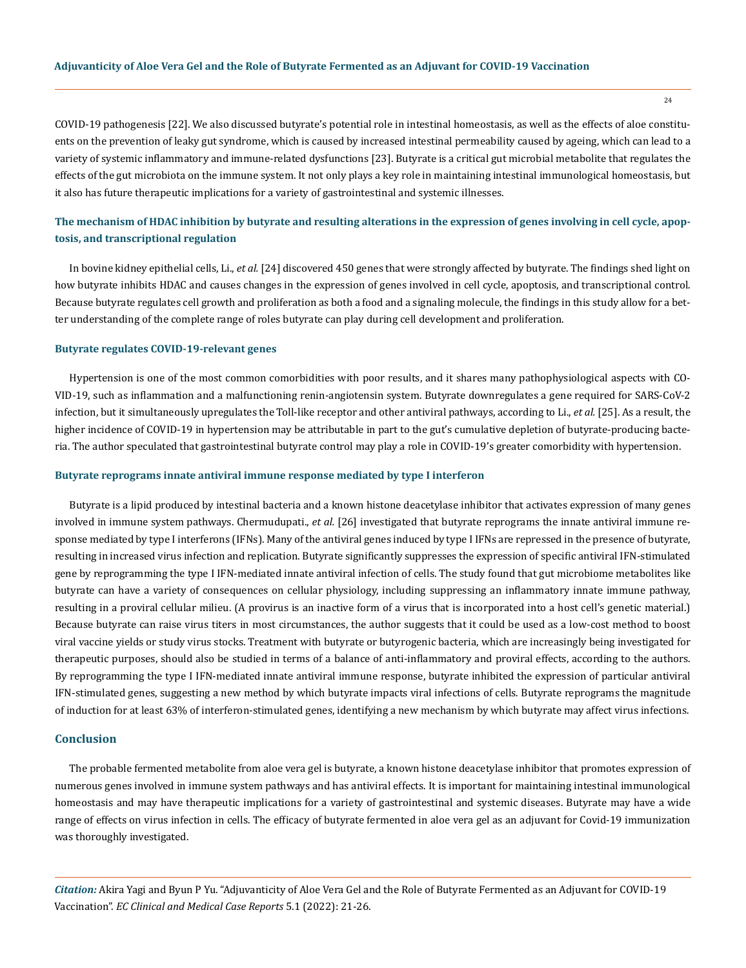COVID-19 pathogenesis [22]. We also discussed butyrate's potential role in intestinal homeostasis, as well as the effects of aloe constituents on the prevention of leaky gut syndrome, which is caused by increased intestinal permeability caused by ageing, which can lead to a variety of systemic inflammatory and immune-related dysfunctions [23]. Butyrate is a critical gut microbial metabolite that regulates the effects of the gut microbiota on the immune system. It not only plays a key role in maintaining intestinal immunological homeostasis, but it also has future therapeutic implications for a variety of gastrointestinal and systemic illnesses.

# **The mechanism of HDAC inhibition by butyrate and resulting alterations in the expression of genes involving in cell cycle, apoptosis, and transcriptional regulation**

In bovine kidney epithelial cells, Li., *et al.* [24] discovered 450 genes that were strongly affected by butyrate. The findings shed light on how butyrate inhibits HDAC and causes changes in the expression of genes involved in cell cycle, apoptosis, and transcriptional control. Because butyrate regulates cell growth and proliferation as both a food and a signaling molecule, the findings in this study allow for a better understanding of the complete range of roles butyrate can play during cell development and proliferation.

#### **Butyrate regulates COVID-19-relevant genes**

Hypertension is one of the most common comorbidities with poor results, and it shares many pathophysiological aspects with CO-VID-19, such as inflammation and a malfunctioning renin-angiotensin system. Butyrate downregulates a gene required for SARS-CoV-2 infection, but it simultaneously upregulates the Toll-like receptor and other antiviral pathways, according to Li., *et al.* [25]. As a result, the higher incidence of COVID-19 in hypertension may be attributable in part to the gut's cumulative depletion of butyrate-producing bacteria. The author speculated that gastrointestinal butyrate control may play a role in COVID-19's greater comorbidity with hypertension.

#### **Butyrate reprograms innate antiviral immune response mediated by type I interferon**

Butyrate is a lipid produced by intestinal bacteria and a known histone deacetylase inhibitor that activates expression of many genes involved in immune system pathways. Chermudupati., *et al.* [26] investigated that butyrate reprograms the innate antiviral immune response mediated by type I interferons (IFNs). Many of the antiviral genes induced by type I IFNs are repressed in the presence of butyrate, resulting in increased virus infection and replication. Butyrate significantly suppresses the expression of specific antiviral IFN-stimulated gene by reprogramming the type I IFN-mediated innate antiviral infection of cells. The study found that gut microbiome metabolites like butyrate can have a variety of consequences on cellular physiology, including suppressing an inflammatory innate immune pathway, resulting in a proviral cellular milieu. (A provirus is an inactive form of a virus that is incorporated into a host cell's genetic material.) Because butyrate can raise virus titers in most circumstances, the author suggests that it could be used as a low-cost method to boost viral vaccine yields or study virus stocks. Treatment with butyrate or butyrogenic bacteria, which are increasingly being investigated for therapeutic purposes, should also be studied in terms of a balance of anti-inflammatory and proviral effects, according to the authors. By reprogramming the type I IFN-mediated innate antiviral immune response, butyrate inhibited the expression of particular antiviral IFN-stimulated genes, suggesting a new method by which butyrate impacts viral infections of cells. Butyrate reprograms the magnitude of induction for at least 63% of interferon-stimulated genes, identifying a new mechanism by which butyrate may affect virus infections.

#### **Conclusion**

The probable fermented metabolite from aloe vera gel is butyrate, a known histone deacetylase inhibitor that promotes expression of numerous genes involved in immune system pathways and has antiviral effects. It is important for maintaining intestinal immunological homeostasis and may have therapeutic implications for a variety of gastrointestinal and systemic diseases. Butyrate may have a wide range of effects on virus infection in cells. The efficacy of butyrate fermented in aloe vera gel as an adjuvant for Covid-19 immunization was thoroughly investigated.

*Citation:* Akira Yagi and Byun P Yu. "Adjuvanticity of Aloe Vera Gel and the Role of Butyrate Fermented as an Adjuvant for COVID-19 Vaccination". *EC Clinical and Medical Case Reports* 5.1 (2022): 21-26.

24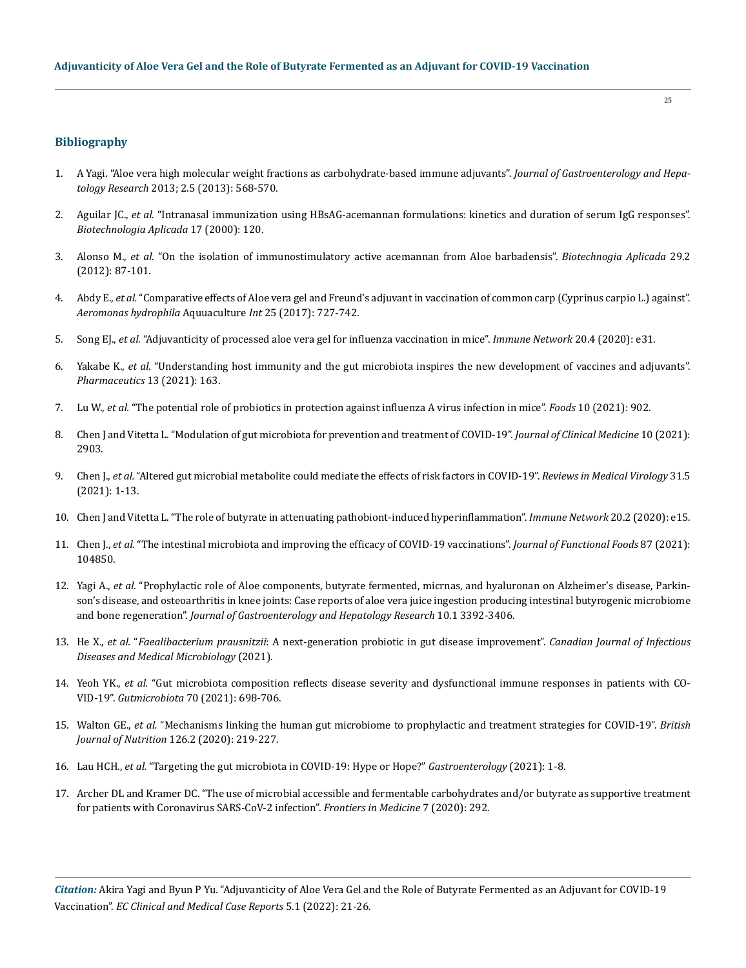## **Bibliography**

- 1. [A Yagi. "Aloe vera high molecular weight fractions as carbohydrate-based immune adjuvants".](http://www.ghrnet.org/index.php/joghr/article/view/381/305) *Journal of Gastroenterology and Hepatology Research* [2013; 2.5 \(2013\): 568-570.](http://www.ghrnet.org/index.php/joghr/article/view/381/305)
- 2. Aguilar JC., *et al.* ["Intranasal immunization using HBsAG-acemannan formulations: kinetics and duration of serum IgG responses".](https://tspace.library.utoronto.ca/html/1807/21857/ba00033.html)  *[Biotechnologia Aplicada](https://tspace.library.utoronto.ca/html/1807/21857/ba00033.html)* 17 (2000): 120.
- 3. Alonso M., *et al.* ["On the isolation of immunostimulatory active acemannan from Aloe barbadensis".](https://www.medigraphic.com/cgi-bin/new/resumenI.cgi?IDARTICULO=36378) *Biotechnogia Aplicada* 29.2 [\(2012\): 87-101.](https://www.medigraphic.com/cgi-bin/new/resumenI.cgi?IDARTICULO=36378)
- 4. Abdy E., *et al.* ["Comparative effects of Aloe vera gel and Freund's adjuvant in vaccination of common carp \(Cyprinus carpio L.\) against".](https://link.springer.com/article/10.1007/s10499-016-0074-1)  *[Aeromonas hydrophila](https://link.springer.com/article/10.1007/s10499-016-0074-1)* Aquuaculture *Int* 25 (2017): 727-742.
- 5. Song EJ., *et al.* ["Adjuvanticity of processed aloe vera gel for influenza vaccination in mice".](https://www.ncbi.nlm.nih.gov/pmc/articles/PMC7458799/) *Immune Network* 20.4 (2020): e31.
- 6. Yakabe K., *et al.* ["Understanding host immunity and the gut microbiota inspires the new development of vaccines and adjuvants".](https://pubmed.ncbi.nlm.nih.gov/33530627/)  *[Pharmaceutics](https://pubmed.ncbi.nlm.nih.gov/33530627/)* 13 (2021): 163.
- 7. Lu W., *et al.* ["The potential role of probiotics in protection against influenza A virus infection in mice".](https://pubmed.ncbi.nlm.nih.gov/33924002/) *Foods* 10 (2021): 902.
- 8. [Chen J and Vitetta L. "Modulation of gut microbiota for prevention and treatment of COVID-19".](https://www.mdpi.com/2077-0383/10/13/2903) *Journal of Clinical Medicine* 10 (2021): [2903.](https://www.mdpi.com/2077-0383/10/13/2903)
- 9. Chen J., *et al.* ["Altered gut microbial metabolite could mediate the effects of risk factors in COVID-19".](https://pubmed.ncbi.nlm.nih.gov/34546607/) *Reviews in Medical Virology* 31.5 [\(2021\): 1-13.](https://pubmed.ncbi.nlm.nih.gov/34546607/)
- 10. [Chen J and Vitetta L. "The role of butyrate in attenuating pathobiont-induced hyperinflammation".](https://www.ncbi.nlm.nih.gov/pmc/articles/PMC7192831/) *Immune Network* 20.2 (2020): e15.
- 11. Chen J., *et al.* ["The intestinal microbiota and improving the efficacy of COVID-19 vaccinations".](https://pubmed.ncbi.nlm.nih.gov/34777578/) *Journal of Functional Foods* 87 (2021): [104850.](https://pubmed.ncbi.nlm.nih.gov/34777578/)
- 12. Yagi A., *et al.* ["Prophylactic role of Aloe components, butyrate fermented, micrnas, and hyaluronan on Alzheimer's disease, Parkin](http://www.ghrnet.org/index.php/joghr/article/view/3093/3391)[son's disease, and osteoarthritis in knee joints: Case reports of aloe vera juice ingestion producing intestinal butyrogenic microbiome](http://www.ghrnet.org/index.php/joghr/article/view/3093/3391)  and bone regeneration". *[Journal of Gastroenterology and Hepatology Research](http://www.ghrnet.org/index.php/joghr/article/view/3093/3391)* 10.1 3392-3406.
- 13. He X., *et al.* "*Faealibacterium prausnitzii*[: A next-generation probiotic in gut disease improvement".](https://www.hindawi.com/journals/cjidmm/2021/6666114/) *Canadian Journal of Infectious [Diseases and Medical Microbiology](https://www.hindawi.com/journals/cjidmm/2021/6666114/)* (2021).
- 14. Yeoh YK., *et al.* ["Gut microbiota composition reflects disease severity and dysfunctional immune responses in patients with CO](https://pubmed.ncbi.nlm.nih.gov/33431578/)-VID-19". *Gutmicrobiota* [70 \(2021\): 698-706.](https://pubmed.ncbi.nlm.nih.gov/33431578/)
- 15. Walton GE., *et al.* ["Mechanisms linking the human gut microbiome to prophylactic and treatment strategies for COVID-19".](https://pubmed.ncbi.nlm.nih.gov/33032673/) *British Journal of Nutrition* [126.2 \(2020\): 219-227.](https://pubmed.ncbi.nlm.nih.gov/33032673/)
- 16. Lau HCH., *et al.* ["Targeting the gut microbiota in COVID-19: Hype or Hope?"](https://pubmed.ncbi.nlm.nih.gov/34508775/) *Gastroenterology* (2021): 1-8.
- 17. [Archer DL and Kramer DC. "The use of microbial accessible and fermentable carbohydrates and/or butyrate as supportive treatment](https://www.ncbi.nlm.nih.gov/pmc/articles/PMC7290455/)  [for patients with Coronavirus SARS-CoV-2 infection".](https://www.ncbi.nlm.nih.gov/pmc/articles/PMC7290455/) *Frontiers in Medicine* 7 (2020): 292.

*Citation:* Akira Yagi and Byun P Yu. "Adjuvanticity of Aloe Vera Gel and the Role of Butyrate Fermented as an Adjuvant for COVID-19 Vaccination". *EC Clinical and Medical Case Reports* 5.1 (2022): 21-26.

25